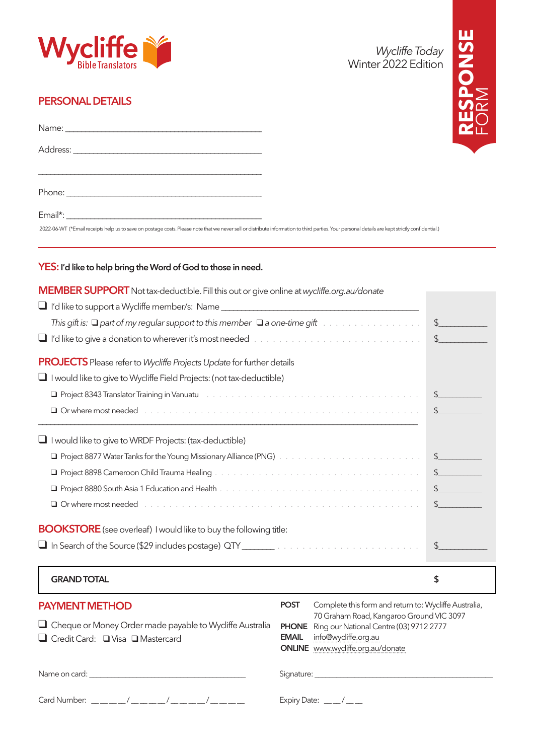

#### PERSONAL DETAILS

| 2022-06-WT (*Email receipts help us to save on postage costs. Please note that we never sell or distribute information to third parties. Your personal details are kept strictly confidential.) |  |
|-------------------------------------------------------------------------------------------------------------------------------------------------------------------------------------------------|--|



#### YES: I'd like to help bring the Word of God to those in need.

| MEMBER SUPPORT Not tax-deductible. Fill this out or give online at wycliffe.org.au/donate                                                                                                                                                |                                                                                                     |                |  |
|------------------------------------------------------------------------------------------------------------------------------------------------------------------------------------------------------------------------------------------|-----------------------------------------------------------------------------------------------------|----------------|--|
|                                                                                                                                                                                                                                          |                                                                                                     |                |  |
| This gift is: $\Box$ part of my regular support to this member $\Box$ a one-time gift $\Box$ .                                                                                                                                           |                                                                                                     | $\frac{1}{2}$  |  |
|                                                                                                                                                                                                                                          |                                                                                                     |                |  |
| <b>PROJECTS</b> Please refer to Wycliffe Projects Update for further details                                                                                                                                                             |                                                                                                     |                |  |
| $\Box$ I would like to give to Wycliffe Field Projects: (not tax-deductible)                                                                                                                                                             |                                                                                                     |                |  |
| Project 8343 Translator Training in Vanuatu Fall and Revenue and Article Andrew Contract and Article Andrew Co<br>$\frac{1}{2}$                                                                                                          |                                                                                                     |                |  |
| Q Or where most needed enterpreteration of the contract of the contract of the contract of the contract of the contract of the contract of the contract of the contract of the contract of the contract of the contract of the<br>$\sim$ |                                                                                                     |                |  |
| I would like to give to WRDF Projects: (tax-deductible)                                                                                                                                                                                  |                                                                                                     |                |  |
|                                                                                                                                                                                                                                          |                                                                                                     | $\frac{1}{2}$  |  |
|                                                                                                                                                                                                                                          |                                                                                                     | $\frac{1}{2}$  |  |
|                                                                                                                                                                                                                                          |                                                                                                     | $\frac{1}{2}$  |  |
| Q Or where most needed enterpresent containment in the containment of the contact of the contact of the contact of the contact of the contact of the contact of the contact of the contact of the contact of the contact of th           |                                                                                                     | $\updownarrow$ |  |
| <b>BOOKSTORE</b> (see overleaf) I would like to buy the following title:                                                                                                                                                                 |                                                                                                     |                |  |
|                                                                                                                                                                                                                                          |                                                                                                     | $\frac{1}{2}$  |  |
| <b>GRAND TOTAL</b>                                                                                                                                                                                                                       |                                                                                                     | \$             |  |
| <b>PAYMENT METHOD</b>                                                                                                                                                                                                                    | Complete this form and return to: Wycliffe Australia,<br><b>POST</b>                                |                |  |
| $\Box$ Cheque or Money Order made payable to Wycliffe Australia                                                                                                                                                                          | 70 Graham Road, Kangaroo Ground VIC 3097<br>Ring our National Centre (03) 9712 2777<br><b>PHONE</b> |                |  |
| Credit Card: Visa O Mastercard                                                                                                                                                                                                           | info@wycliffe.org.au<br><b>EMAIL</b>                                                                |                |  |
|                                                                                                                                                                                                                                          | ONLINE www.wycliffe.org.au/donate                                                                   |                |  |
| Name on card: <u>with a series and the series of the series of the series of the series of the series of the series of the series of the series of the series of the series of the series of the series of the series of the ser</u>     |                                                                                                     |                |  |
|                                                                                                                                                                                                                                          |                                                                                                     |                |  |

Card Number: \_\_\_\_\_/\_\_\_\_\_/\_\_\_\_\_/\_\_\_\_\_/\_\_\_\_\_\_/<br>
Expiry Date: \_\_\_/\_\_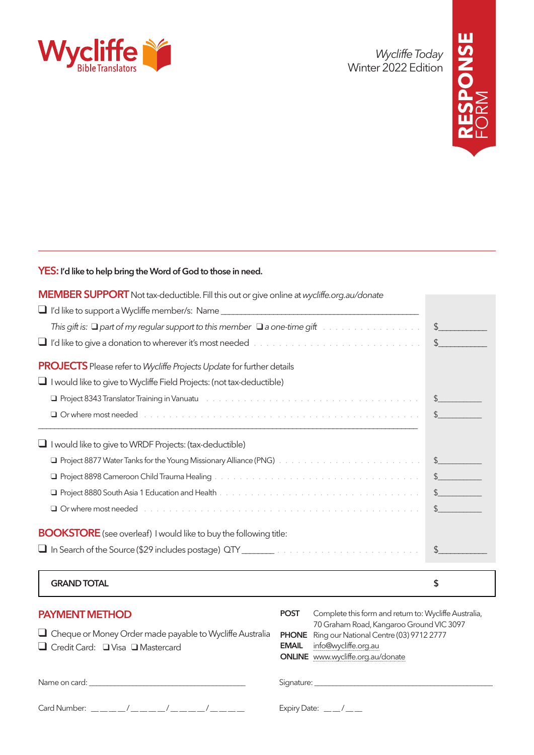

*Wycliffe Today* Winter 2022 Edition



#### YES: I'd like to help bring the Word of God to those in need.

| <b>GRAND TOTAL</b>                                                                                                                                                                                                             | \$                                                                                                                                                                                                                                                                                                                                                  |
|--------------------------------------------------------------------------------------------------------------------------------------------------------------------------------------------------------------------------------|-----------------------------------------------------------------------------------------------------------------------------------------------------------------------------------------------------------------------------------------------------------------------------------------------------------------------------------------------------|
|                                                                                                                                                                                                                                |                                                                                                                                                                                                                                                                                                                                                     |
| <b>BOOKSTORE</b> (see overleaf) I would like to buy the following title:                                                                                                                                                       |                                                                                                                                                                                                                                                                                                                                                     |
| Q Orwhere most needed experience is a series of the contract of the contract of the contract of the contract of the contract of the contract of the contract of the contract of the contract of the contract of the contract o | $\frac{1}{2}$                                                                                                                                                                                                                                                                                                                                       |
|                                                                                                                                                                                                                                | $\frac{1}{2}$                                                                                                                                                                                                                                                                                                                                       |
|                                                                                                                                                                                                                                | $\frac{1}{2}$                                                                                                                                                                                                                                                                                                                                       |
| Q Project 8877 Water Tanks for the Young Missionary Alliance (PNG) And Account Account Account Account S                                                                                                                       |                                                                                                                                                                                                                                                                                                                                                     |
| I would like to give to WRDF Projects: (tax-deductible)                                                                                                                                                                        |                                                                                                                                                                                                                                                                                                                                                     |
| Q Or where most needed enterprise to a series and contained a series of the contact of the contact of the contact of the contact of the contact of the contact of the contact of the contact of the contact of the contact of  | $\frac{1}{2}$                                                                                                                                                                                                                                                                                                                                       |
|                                                                                                                                                                                                                                | $\begin{picture}(20,20) \put(0,0){\line(1,0){10}} \put(15,0){\line(1,0){10}} \put(15,0){\line(1,0){10}} \put(15,0){\line(1,0){10}} \put(15,0){\line(1,0){10}} \put(15,0){\line(1,0){10}} \put(15,0){\line(1,0){10}} \put(15,0){\line(1,0){10}} \put(15,0){\line(1,0){10}} \put(15,0){\line(1,0){10}} \put(15,0){\line(1,0){10}} \put(15,0){\line(1$ |
| $\Box$ I would like to give to Wycliffe Field Projects: (not tax-deductible)                                                                                                                                                   |                                                                                                                                                                                                                                                                                                                                                     |
| <b>PROJECTS</b> Please refer to Wycliffe Projects Update for further details                                                                                                                                                   |                                                                                                                                                                                                                                                                                                                                                     |
| U I'd like to give a donation to wherever it's most needed with a substance with a substance of the line                                                                                                                       | $\sim$                                                                                                                                                                                                                                                                                                                                              |
|                                                                                                                                                                                                                                | $\frac{1}{2}$                                                                                                                                                                                                                                                                                                                                       |
|                                                                                                                                                                                                                                |                                                                                                                                                                                                                                                                                                                                                     |
| <b>MEMBER SUPPORT</b> Not tax-deductible. Fill this out or give online at wycliffe.org.au/donate                                                                                                                               |                                                                                                                                                                                                                                                                                                                                                     |

| <b>PAYMENT METHOD</b><br>$\Box$ Cheque or Money Order made payable to Wycliffe Australia<br>$\Box$ Credit Card: $\Box$ Visa $\Box$ Mastercard | Complete this form and return to: Wycliffe Australia,<br><b>POST</b><br>70 Graham Road, Kangaroo Ground VIC 3097<br><b>PHONE</b> Ring our National Centre (03) 9712 2777<br>info@wycliffe.org.au<br><b>EMAIL</b><br><b>ONLINE</b> www.wycliffe.org.au/donate |
|-----------------------------------------------------------------------------------------------------------------------------------------------|--------------------------------------------------------------------------------------------------------------------------------------------------------------------------------------------------------------------------------------------------------------|
|                                                                                                                                               | Signature: Signature:                                                                                                                                                                                                                                        |
| $Card$ Number: _____/_____/_____/_____/______                                                                                                 | Expiry Date: $\_\_\_\_\_\_\_\_\_\_\_\_\_\_\_\_\_\_\_$                                                                                                                                                                                                        |